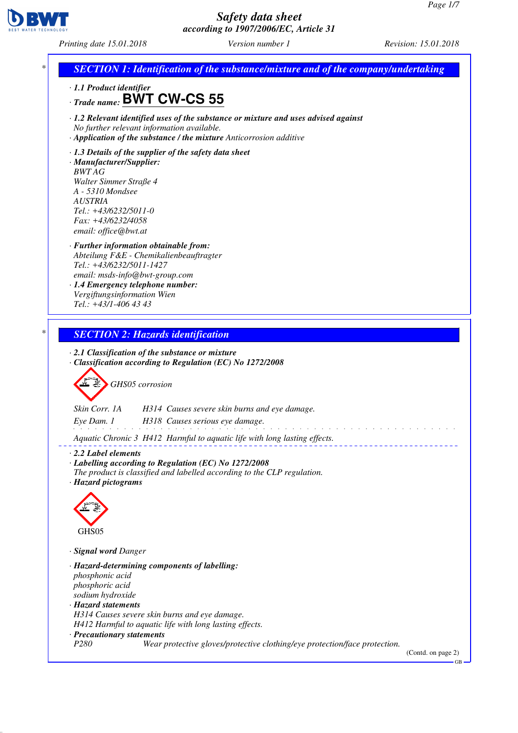

*Printing date 15.01.2018 Version number 1 Revision: 15.01.2018*

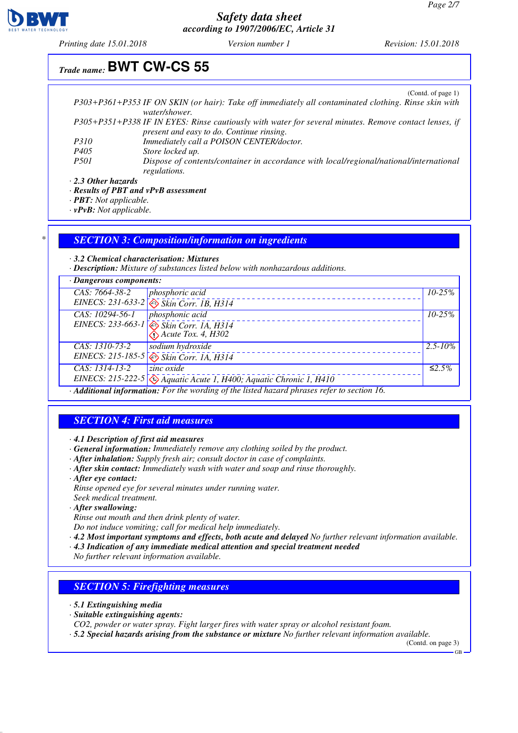

*Printing date 15.01.2018 Version number 1 Revision: 15.01.2018*

# *Trade name:* **BWT CW-CS 55**

(Contd. of page 1)

|             | P303+P361+P353 IF ON SKIN (or hair): Take off immediately all contaminated clothing. Rinse skin with  |
|-------------|-------------------------------------------------------------------------------------------------------|
|             | water/shower.                                                                                         |
|             | P305+P351+P338 IF IN EYES: Rinse cautiously with water for several minutes. Remove contact lenses, if |
|             | present and easy to do. Continue rinsing.                                                             |
| <i>P310</i> | Immediately call a POISON CENTER/doctor.                                                              |
| P405        | Store locked up.                                                                                      |
| <i>P501</i> | Dispose of contents/container in accordance with local/regional/national/international                |
|             | regulations.                                                                                          |

*· 2.3 Other hazards*

*· Results of PBT and vPvB assessment*

*· PBT: Not applicable.*

*· vPvB: Not applicable.*

#### *\* SECTION 3: Composition/information on ingredients*

*· 3.2 Chemical characterisation: Mixtures*

*· Description: Mixture of substances listed below with nonhazardous additions.*

| · Dangerous components:                                                                     |                                                                                               |              |
|---------------------------------------------------------------------------------------------|-----------------------------------------------------------------------------------------------|--------------|
| CAS: 7664-38-2                                                                              | <i>phosphoric acid</i>                                                                        | $10 - 25\%$  |
|                                                                                             | EINECS: 231-633-2 $\sqrt{\sqrt{g}}$ Skin Corr. 1B, H314                                       |              |
| $CAS: 10294-56-1$                                                                           | phosphonic acid                                                                               | $10 - 25\%$  |
|                                                                                             | EINECS: 233-663-1 Skin Corr. 1A, H314                                                         |              |
|                                                                                             | $\hat{I}$ Acute Tox. 4, H302                                                                  |              |
| CAS: 1310-73-2                                                                              | sodium hydroxide                                                                              | $2.5 - 10\%$ |
|                                                                                             | EINECS: 215-185-5 Skin Corr. IA, H314                                                         |              |
| $CAS: 1314-13-2$                                                                            | zinc oxide                                                                                    | ≤2.5%        |
|                                                                                             | EINECS: 215-222-5 $\left\langle \right\rangle$ Aquatic Acute 1, H400; Aquatic Chronic 1, H410 |              |
| · Additional information: For the wording of the listed hazard phrases refer to section 16. |                                                                                               |              |

### *SECTION 4: First aid measures*

*· 4.1 Description of first aid measures*

- *· General information: Immediately remove any clothing soiled by the product.*
- *· After inhalation: Supply fresh air; consult doctor in case of complaints.*
- *· After skin contact: Immediately wash with water and soap and rinse thoroughly.*
- *· After eye contact:*

*Rinse opened eye for several minutes under running water.*

*Seek medical treatment.*

*· After swallowing:*

*Rinse out mouth and then drink plenty of water.*

*Do not induce vomiting; call for medical help immediately.*

- *· 4.2 Most important symptoms and effects, both acute and delayed No further relevant information available.*
- *· 4.3 Indication of any immediate medical attention and special treatment needed*
- *No further relevant information available.*

#### *SECTION 5: Firefighting measures*

- *· 5.1 Extinguishing media*
- *· Suitable extinguishing agents:*
- *CO2, powder or water spray. Fight larger fires with water spray or alcohol resistant foam.*
- *· 5.2 Special hazards arising from the substance or mixture No further relevant information available.*

(Contd. on page 3)

GB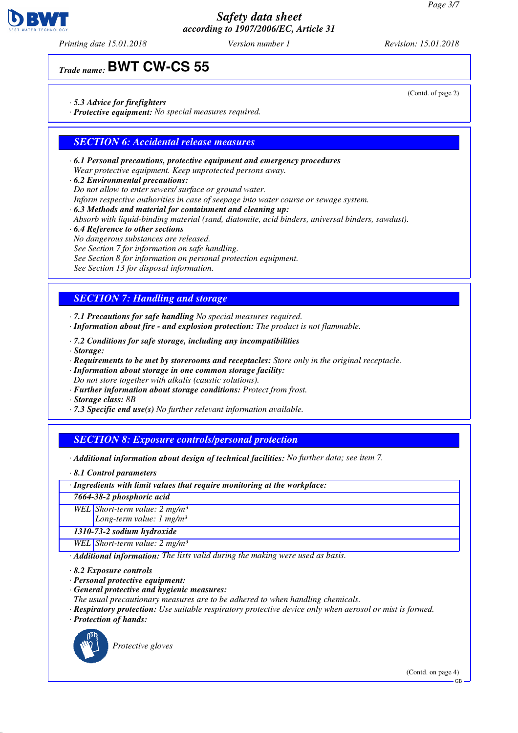

*Printing date 15.01.2018 Version number 1 Revision: 15.01.2018*

*Trade name:* **BWT CW-CS 55**

- *· 5.3 Advice for firefighters*
- *· Protective equipment: No special measures required.*

## *SECTION 6: Accidental release measures*

- *· 6.1 Personal precautions, protective equipment and emergency procedures Wear protective equipment. Keep unprotected persons away.*
- *· 6.2 Environmental precautions:*
- *Do not allow to enter sewers/ surface or ground water.*
- *Inform respective authorities in case of seepage into water course or sewage system.*
- *· 6.3 Methods and material for containment and cleaning up:*
- *Absorb with liquid-binding material (sand, diatomite, acid binders, universal binders, sawdust).*
- *· 6.4 Reference to other sections*
- *No dangerous substances are released.*
- *See Section 7 for information on safe handling.*
- *See Section 8 for information on personal protection equipment.*
- *See Section 13 for disposal information.*

### *SECTION 7: Handling and storage*

- *· 7.1 Precautions for safe handling No special measures required.*
- *· Information about fire and explosion protection: The product is not flammable.*
- *· 7.2 Conditions for safe storage, including any incompatibilities · Storage:*
- *· Requirements to be met by storerooms and receptacles: Store only in the original receptacle.*
- *· Information about storage in one common storage facility: Do not store together with alkalis (caustic solutions).*
- *· Further information about storage conditions: Protect from frost.*
- *· Storage class: 8B*
- *· 7.3 Specific end use(s) No further relevant information available.*

### *SECTION 8: Exposure controls/personal protection*

- *· Additional information about design of technical facilities: No further data; see item 7.*
- *· 8.1 Control parameters*
- *· Ingredients with limit values that require monitoring at the workplace:*
- *7664-38-2 phosphoric acid*
- *WEL Short-term value: 2 mg/m³*
	- *Long-term value: 1 mg/m³*
- *1310-73-2 sodium hydroxide*

*WEL Short-term value: 2 mg/m³*

*· Additional information: The lists valid during the making were used as basis.*

*· 8.2 Exposure controls*

- *· Personal protective equipment:*
- *· General protective and hygienic measures:*
- *The usual precautionary measures are to be adhered to when handling chemicals.*
- *· Respiratory protection: Use suitable respiratory protective device only when aerosol or mist is formed.*
- *· Protection of hands:*



*Protective gloves*

(Contd. on page 4)

GB

(Contd. of page 2)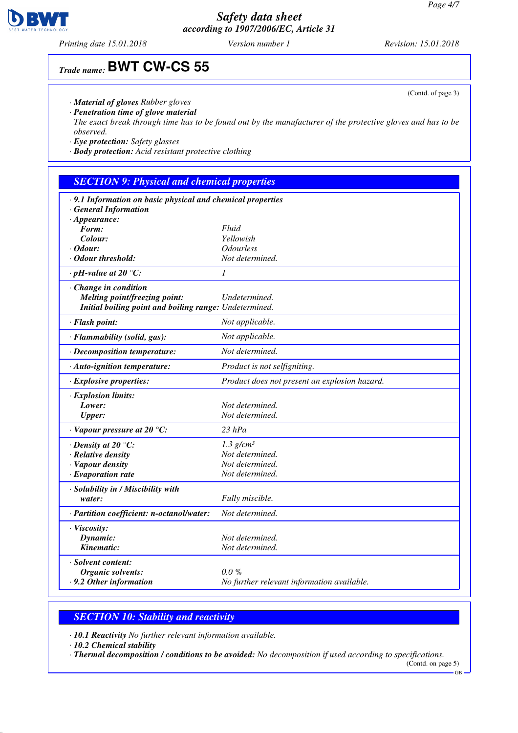*Printing date 15.01.2018 Version number 1 Revision: 15.01.2018*

# *Trade name:* **BWT CW-CS 55**

- *· Material of gloves Rubber gloves*
- *· Penetration time of glove material*
- *The exact break through time has to be found out by the manufacturer of the protective gloves and has to be observed.*
- *· Eye protection: Safety glasses*
- *· Body protection: Acid resistant protective clothing*

# *SECTION 9: Physical and chemical properties*

| · 9.1 Information on basic physical and chemical properties |                                               |
|-------------------------------------------------------------|-----------------------------------------------|
| · General Information                                       |                                               |
| $\cdot$ Appearance:                                         |                                               |
| Form:                                                       | Fluid                                         |
| Colour:                                                     | Yellowish                                     |
| · Odour:                                                    | <i><b>Odourless</b></i>                       |
| • Odour threshold:                                          | Not determined.                               |
| $\cdot$ pH-value at 20 $\degree$ C:                         | $\mathcal{I}$                                 |
| · Change in condition                                       |                                               |
| Melting point/freezing point:                               | Undetermined.                                 |
| Initial boiling point and boiling range: Undetermined.      |                                               |
|                                                             |                                               |
| · Flash point:                                              | Not applicable.                               |
| · Flammability (solid, gas):                                | Not applicable.                               |
| · Decomposition temperature:                                | Not determined.                               |
| · Auto-ignition temperature:                                | Product is not selfigniting.                  |
| $\cdot$ Explosive properties:                               | Product does not present an explosion hazard. |
| · Explosion limits:                                         |                                               |
| Lower:                                                      | Not determined.                               |
| <b>Upper:</b>                                               | Not determined.                               |
| $\cdot$ Vapour pressure at 20 °C:                           | $23$ $hPa$                                    |
| $\cdot$ Density at 20 $\degree$ C:                          | $1.3$ g/cm <sup>3</sup>                       |
| $\cdot$ Relative density                                    | Not determined.                               |
| · Vapour density                                            | Not determined.                               |
| $\cdot$ Evaporation rate                                    | Not determined.                               |
| · Solubility in / Miscibility with                          |                                               |
| water:                                                      | Fully miscible.                               |
| · Partition coefficient: n-octanol/water:                   | Not determined.                               |
| · Viscosity:                                                |                                               |
| Dynamic:                                                    | Not determined.                               |
| Kinematic:                                                  | Not determined.                               |
|                                                             |                                               |
| · Solvent content:                                          |                                               |
| Organic solvents:                                           | $0.0 \%$                                      |
| .9.2 Other information                                      | No further relevant information available.    |

### *SECTION 10: Stability and reactivity*

*· 10.1 Reactivity No further relevant information available.*

*· 10.2 Chemical stability*

*· Thermal decomposition / conditions to be avoided: No decomposition if used according to specifications.*

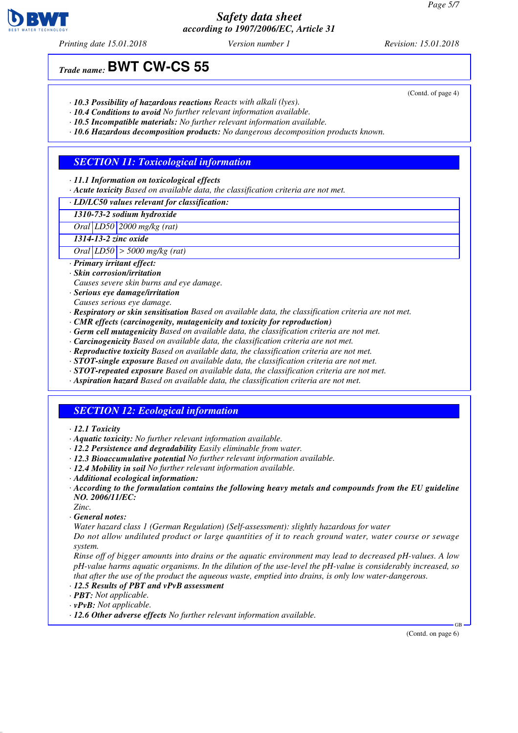*Printing date 15.01.2018 Version number 1 Revision: 15.01.2018*

*Trade name:* **BWT CW-CS 55**

- *· 10.3 Possibility of hazardous reactions Reacts with alkali (lyes).*
- *· 10.4 Conditions to avoid No further relevant information available.*
- *· 10.5 Incompatible materials: No further relevant information available.*
- *· 10.6 Hazardous decomposition products: No dangerous decomposition products known.*

## *SECTION 11: Toxicological information*

- *· 11.1 Information on toxicological effects*
- *· Acute toxicity Based on available data, the classification criteria are not met.*

*· LD/LC50 values relevant for classification:*

*1310-73-2 sodium hydroxide*

*Oral LD50 2000 mg/kg (rat)*

*1314-13-2 zinc oxide*

*Oral LD50 > 5000 mg/kg (rat)*

- *· Primary irritant effect:*
- *· Skin corrosion/irritation*
- *Causes severe skin burns and eye damage.*
- *· Serious eye damage/irritation*
- *Causes serious eye damage.*
- *· Respiratory or skin sensitisation Based on available data, the classification criteria are not met.*
- *· CMR effects (carcinogenity, mutagenicity and toxicity for reproduction)*
- *· Germ cell mutagenicity Based on available data, the classification criteria are not met.*
- *· Carcinogenicity Based on available data, the classification criteria are not met.*
- *· Reproductive toxicity Based on available data, the classification criteria are not met.*
- *· STOT-single exposure Based on available data, the classification criteria are not met.*
- *· STOT-repeated exposure Based on available data, the classification criteria are not met.*
- *· Aspiration hazard Based on available data, the classification criteria are not met.*

### *SECTION 12: Ecological information*

- *· 12.1 Toxicity*
- *· Aquatic toxicity: No further relevant information available.*
- *· 12.2 Persistence and degradability Easily eliminable from water.*
- *· 12.3 Bioaccumulative potential No further relevant information available.*
- *· 12.4 Mobility in soil No further relevant information available.*
- *· Additional ecological information:*
- *· According to the formulation contains the following heavy metals and compounds from the EU guideline NO. 2006/11/EC:*
- *Zinc.*
- *· General notes:*

*Water hazard class 1 (German Regulation) (Self-assessment): slightly hazardous for water*

*Do not allow undiluted product or large quantities of it to reach ground water, water course or sewage system.*

*Rinse off of bigger amounts into drains or the aquatic environment may lead to decreased pH-values. A low pH-value harms aquatic organisms. In the dilution of the use-level the pH-value is considerably increased, so that after the use of the product the aqueous waste, emptied into drains, is only low water-dangerous.*

- *· 12.5 Results of PBT and vPvB assessment*
- *· PBT: Not applicable.*
- *· vPvB: Not applicable.*
- *· 12.6 Other adverse effects No further relevant information available.*

(Contd. on page 6)

GB



(Contd. of page 4)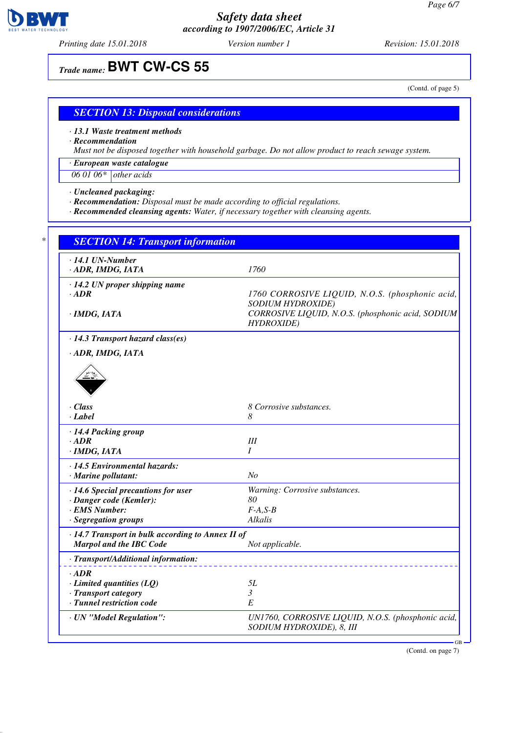

*Printing date 15.01.2018 Version number 1 Revision: 15.01.2018*

# *Trade name:* **BWT CW-CS 55**

(Contd. of page 5)

#### *SECTION 13: Disposal considerations*

*· 13.1 Waste treatment methods*

*· Recommendation*

*Must not be disposed together with household garbage. Do not allow product to reach sewage system.*

*· European waste catalogue*

*06 01 06\* other acids*

*· Uncleaned packaging:*

- *· Recommendation: Disposal must be made according to official regulations.*
- *· Recommended cleansing agents: Water, if necessary together with cleansing agents.*

| $\cdot$ 14.1 UN-Number<br>· ADR, IMDG, IATA       | 1760                                                                    |
|---------------------------------------------------|-------------------------------------------------------------------------|
| $\cdot$ 14.2 UN proper shipping name              |                                                                         |
| $-ADR$                                            | 1760 CORROSIVE LIQUID, N.O.S. (phosphonic acid,                         |
|                                                   | SODIUM HYDROXIDE)                                                       |
| · IMDG, IATA                                      | CORROSIVE LIQUID, N.O.S. (phosphonic acid, SODIUM<br><b>HYDROXIDE</b> ) |
| $\cdot$ 14.3 Transport hazard class(es)           |                                                                         |
| · ADR, IMDG, IATA                                 |                                                                         |
|                                                   |                                                                         |
|                                                   |                                                                         |
|                                                   |                                                                         |
| · Class                                           | 8 Corrosive substances.                                                 |
| · Label                                           | 8                                                                       |
| · 14.4 Packing group                              |                                                                         |
| $\cdot$ ADR                                       | III                                                                     |
| · IMDG, IATA                                      | I                                                                       |
| · 14.5 Environmental hazards:                     |                                                                         |
| · Marine pollutant:                               | N <sub>o</sub>                                                          |
| · 14.6 Special precautions for user               | Warning: Corrosive substances.                                          |
| · Danger code (Kemler):                           | 80                                                                      |
| · EMS Number:                                     | $F-A, S-B$                                                              |
| · Segregation groups                              | Alkalis                                                                 |
| · 14.7 Transport in bulk according to Annex II of |                                                                         |
| <b>Marpol and the IBC Code</b>                    | Not applicable.                                                         |
| · Transport/Additional information:               |                                                                         |
| $\cdot$ ADR                                       |                                                                         |
| $\cdot$ Limited quantities (LQ)                   | 5L                                                                      |
| · Transport category                              | 3                                                                       |
| · Tunnel restriction code                         | E                                                                       |
| · UN "Model Regulation":                          | UN1760, CORROSIVE LIQUID, N.O.S. (phosphonic acid,                      |
|                                                   | SODIUM HYDROXIDE), 8, III                                               |

(Contd. on page 7)

GB